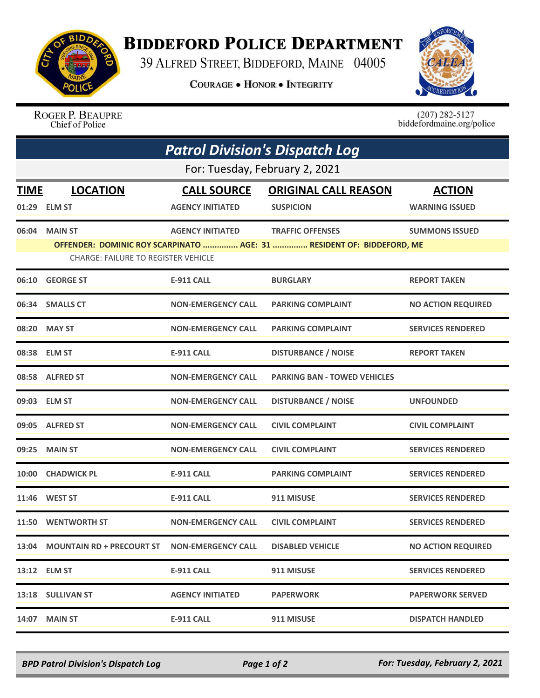

## **BIDDEFORD POLICE DEPARTMENT**

39 ALFRED STREET, BIDDEFORD, MAINE 04005

**COURAGE . HONOR . INTEGRITY** 



ROGER P. BEAUPRE Chief of Police

 $(207)$  282-5127<br>biddefordmaine.org/police

| <b>Patrol Division's Dispatch Log</b> |                                            |                           |                                                                       |                           |  |  |
|---------------------------------------|--------------------------------------------|---------------------------|-----------------------------------------------------------------------|---------------------------|--|--|
| For: Tuesday, February 2, 2021        |                                            |                           |                                                                       |                           |  |  |
| <b>TIME</b>                           | <b>LOCATION</b>                            | <b>CALL SOURCE</b>        | <b>ORIGINAL CALL REASON</b>                                           | <b>ACTION</b>             |  |  |
|                                       | 01:29 ELM ST                               | <b>AGENCY INITIATED</b>   | <b>SUSPICION</b>                                                      | <b>WARNING ISSUED</b>     |  |  |
|                                       | 06:04 MAIN ST                              | <b>AGENCY INITIATED</b>   | <b>TRAFFIC OFFENSES</b>                                               | <b>SUMMONS ISSUED</b>     |  |  |
|                                       | <b>CHARGE: FAILURE TO REGISTER VEHICLE</b> |                           | OFFENDER: DOMINIC ROY SCARPINATO  AGE: 31  RESIDENT OF: BIDDEFORD, ME |                           |  |  |
|                                       | 06:10 GEORGE ST                            | <b>E-911 CALL</b>         | <b>BURGLARY</b>                                                       | <b>REPORT TAKEN</b>       |  |  |
|                                       | 06:34 SMALLS CT                            | <b>NON-EMERGENCY CALL</b> | <b>PARKING COMPLAINT</b>                                              | <b>NO ACTION REQUIRED</b> |  |  |
| 08:20                                 | <b>MAY ST</b>                              | <b>NON-EMERGENCY CALL</b> | <b>PARKING COMPLAINT</b>                                              | <b>SERVICES RENDERED</b>  |  |  |
|                                       | 08:38 ELM ST                               | <b>E-911 CALL</b>         | <b>DISTURBANCE / NOISE</b>                                            | <b>REPORT TAKEN</b>       |  |  |
|                                       | 08:58 ALFRED ST                            | <b>NON-EMERGENCY CALL</b> | <b>PARKING BAN - TOWED VEHICLES</b>                                   |                           |  |  |
|                                       | 09:03 ELM ST                               | <b>NON-EMERGENCY CALL</b> | <b>DISTURBANCE / NOISE</b>                                            | <b>UNFOUNDED</b>          |  |  |
|                                       | 09:05 ALFRED ST                            | <b>NON-EMERGENCY CALL</b> | <b>CIVIL COMPLAINT</b>                                                | <b>CIVIL COMPLAINT</b>    |  |  |
| 09:25                                 | <b>MAIN ST</b>                             | <b>NON-EMERGENCY CALL</b> | <b>CIVIL COMPLAINT</b>                                                | <b>SERVICES RENDERED</b>  |  |  |
| 10:00                                 | <b>CHADWICK PL</b>                         | <b>E-911 CALL</b>         | <b>PARKING COMPLAINT</b>                                              | <b>SERVICES RENDERED</b>  |  |  |
| 11:46                                 | <b>WEST ST</b>                             | <b>E-911 CALL</b>         | 911 MISUSE                                                            | <b>SERVICES RENDERED</b>  |  |  |
|                                       | 11:50 WENTWORTH ST                         | <b>NON-EMERGENCY CALL</b> | <b>CIVIL COMPLAINT</b>                                                | <b>SERVICES RENDERED</b>  |  |  |
|                                       | 13:04 MOUNTAIN RD + PRECOURT ST            | <b>NON-EMERGENCY CALL</b> | <b>DISABLED VEHICLE</b>                                               | <b>NO ACTION REQUIRED</b> |  |  |
|                                       | 13:12 ELM ST                               | <b>E-911 CALL</b>         | 911 MISUSE                                                            | <b>SERVICES RENDERED</b>  |  |  |
|                                       | 13:18 SULLIVAN ST                          | <b>AGENCY INITIATED</b>   | <b>PAPERWORK</b>                                                      | <b>PAPERWORK SERVED</b>   |  |  |
|                                       | <b>14:07 MAIN ST</b>                       | <b>E-911 CALL</b>         | 911 MISUSE                                                            | <b>DISPATCH HANDLED</b>   |  |  |

*BPD Patrol Division's Dispatch Log Page 1 of 2 For: Tuesday, February 2, 2021*